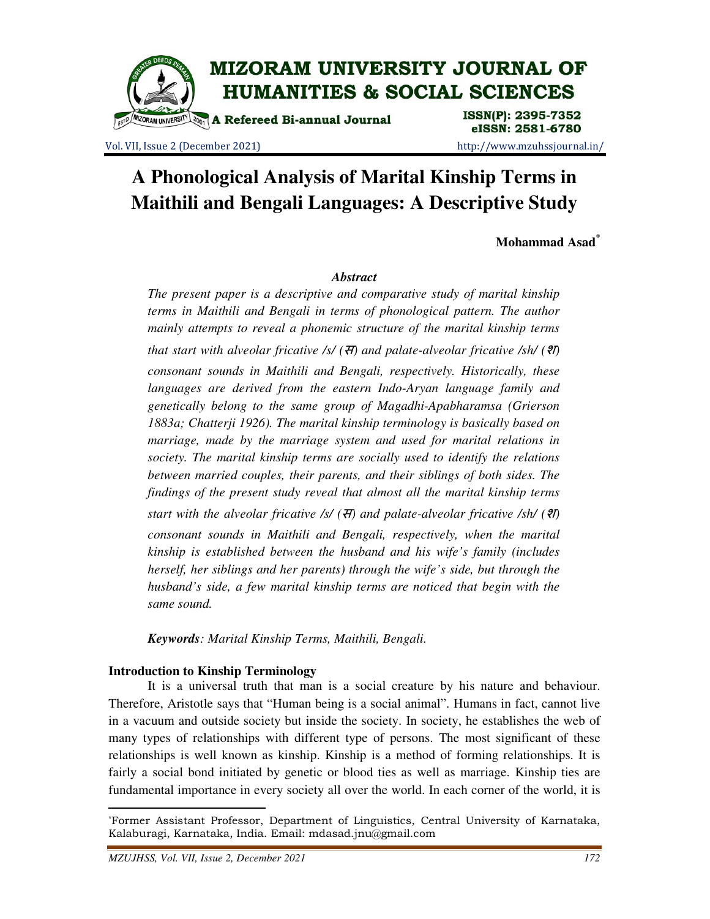

### eISSN: 2581-6780 Vol. VII, Issue 2 (December 2021) http://www.mzuhssjournal.in/

# **A Phonological Analysis of Marital Kinship Terms in Maithili and Bengali Languages: A Descriptive Study**

**Mohammad Asad\***

#### *Abstract*

*The present paper is a descriptive and comparative study of marital kinship terms in Maithili and Bengali in terms of phonological pattern. The author mainly attempts to reveal a phonemic structure of the marital kinship terms that start with alveolar fricative /s/ (*स*) and palate-alveolar fricative /sh/ (*श*) consonant sounds in Maithili and Bengali, respectively. Historically, these languages are derived from the eastern Indo-Aryan language family and genetically belong to the same group of Magadhi-Apabharamsa (Grierson 1883a; Chatterji 1926). The marital kinship terminology is basically based on marriage, made by the marriage system and used for marital relations in society. The marital kinship terms are socially used to identify the relations between married couples, their parents, and their siblings of both sides. The findings of the present study reveal that almost all the marital kinship terms start with the alveolar fricative /s/ (*स*) and palate-alveolar fricative /sh/ (*श*) consonant sounds in Maithili and Bengali, respectively, when the marital kinship is established between the husband and his wife's family (includes herself, her siblings and her parents) through the wife's side, but through the husband's side, a few marital kinship terms are noticed that begin with the* 

*Keywords: Marital Kinship Terms, Maithili, Bengali.* 

#### **Introduction to Kinship Terminology**

*same sound.* 

 It is a universal truth that man is a social creature by his nature and behaviour. Therefore, Aristotle says that "Human being is a social animal". Humans in fact, cannot live in a vacuum and outside society but inside the society. In society, he establishes the web of many types of relationships with different type of persons. The most significant of these relationships is well known as kinship. Kinship is a method of forming relationships. It is fairly a social bond initiated by genetic or blood ties as well as marriage. Kinship ties are fundamental importance in every society all over the world. In each corner of the world, it is

 $\overline{a}$ 

<sup>\*</sup>Former Assistant Professor, Department of Linguistics, Central University of Karnataka, Kalaburagi, Karnataka, India. Email: mdasad.jnu@gmail.com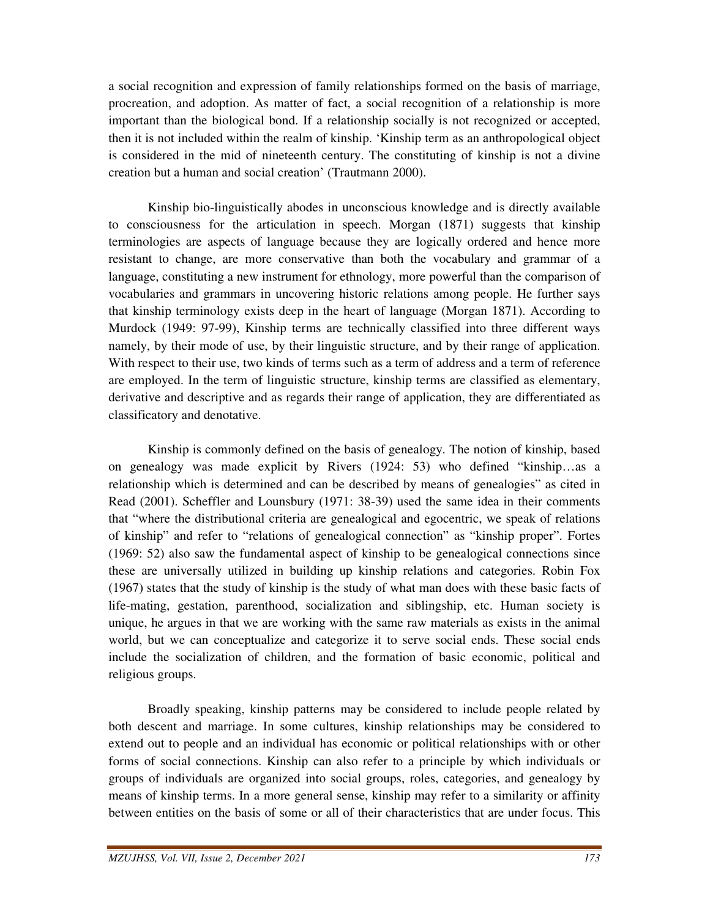a social recognition and expression of family relationships formed on the basis of marriage, procreation, and adoption. As matter of fact, a social recognition of a relationship is more important than the biological bond. If a relationship socially is not recognized or accepted, then it is not included within the realm of kinship. 'Kinship term as an anthropological object is considered in the mid of nineteenth century. The constituting of kinship is not a divine creation but a human and social creation' (Trautmann 2000).

 Kinship bio-linguistically abodes in unconscious knowledge and is directly available to consciousness for the articulation in speech. Morgan (1871) suggests that kinship terminologies are aspects of language because they are logically ordered and hence more resistant to change, are more conservative than both the vocabulary and grammar of a language, constituting a new instrument for ethnology, more powerful than the comparison of vocabularies and grammars in uncovering historic relations among people. He further says that kinship terminology exists deep in the heart of language (Morgan 1871). According to Murdock (1949: 97-99), Kinship terms are technically classified into three different ways namely, by their mode of use, by their linguistic structure, and by their range of application. With respect to their use, two kinds of terms such as a term of address and a term of reference are employed. In the term of linguistic structure, kinship terms are classified as elementary, derivative and descriptive and as regards their range of application, they are differentiated as classificatory and denotative.

 Kinship is commonly defined on the basis of genealogy. The notion of kinship, based on genealogy was made explicit by Rivers (1924: 53) who defined "kinship…as a relationship which is determined and can be described by means of genealogies" as cited in Read (2001). Scheffler and Lounsbury (1971: 38-39) used the same idea in their comments that "where the distributional criteria are genealogical and egocentric, we speak of relations of kinship" and refer to "relations of genealogical connection" as "kinship proper". Fortes (1969: 52) also saw the fundamental aspect of kinship to be genealogical connections since these are universally utilized in building up kinship relations and categories. Robin Fox (1967) states that the study of kinship is the study of what man does with these basic facts of life-mating, gestation, parenthood, socialization and siblingship, etc. Human society is unique, he argues in that we are working with the same raw materials as exists in the animal world, but we can conceptualize and categorize it to serve social ends. These social ends include the socialization of children, and the formation of basic economic, political and religious groups.

 Broadly speaking, kinship patterns may be considered to include people related by both descent and marriage. In some cultures, kinship relationships may be considered to extend out to people and an individual has economic or political relationships with or other forms of social connections. Kinship can also refer to a principle by which individuals or groups of individuals are organized into social groups, roles, categories, and genealogy by means of kinship terms. In a more general sense, kinship may refer to a similarity or affinity between entities on the basis of some or all of their characteristics that are under focus. This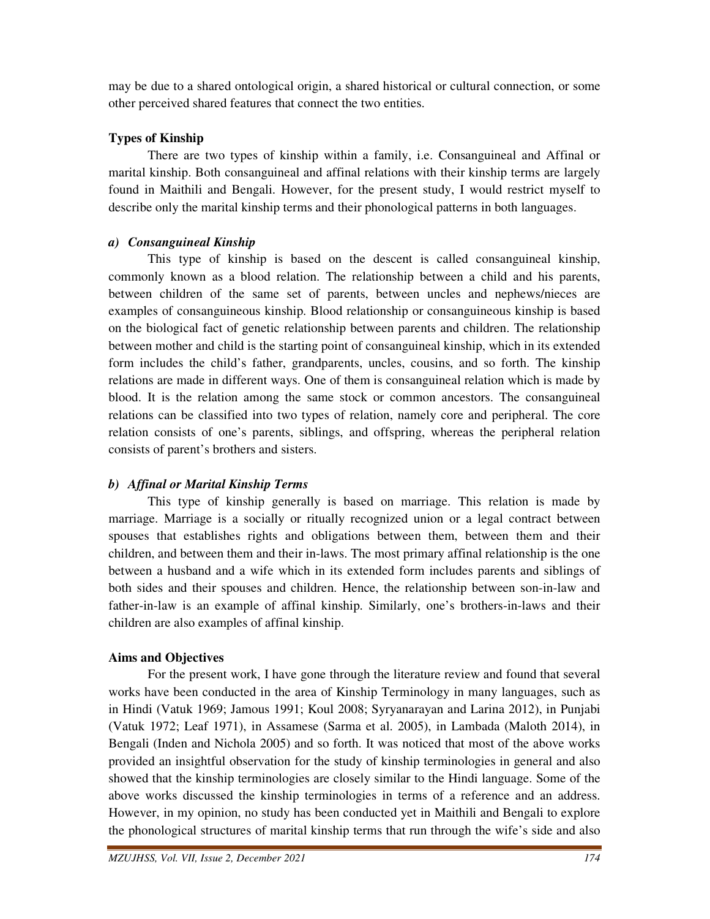may be due to a shared ontological origin, a shared historical or cultural connection, or some other perceived shared features that connect the two entities.

# **Types of Kinship**

 There are two types of kinship within a family, i.e. Consanguineal and Affinal or marital kinship. Both consanguineal and affinal relations with their kinship terms are largely found in Maithili and Bengali. However, for the present study, I would restrict myself to describe only the marital kinship terms and their phonological patterns in both languages.

# *a) Consanguineal Kinship*

 This type of kinship is based on the descent is called consanguineal kinship, commonly known as a blood relation. The relationship between a child and his parents, between children of the same set of parents, between uncles and nephews/nieces are examples of consanguineous kinship. Blood relationship or consanguineous kinship is based on the biological fact of genetic relationship between parents and children. The relationship between mother and child is the starting point of consanguineal kinship, which in its extended form includes the child's father, grandparents, uncles, cousins, and so forth. The kinship relations are made in different ways. One of them is consanguineal relation which is made by blood. It is the relation among the same stock or common ancestors. The consanguineal relations can be classified into two types of relation, namely core and peripheral. The core relation consists of one's parents, siblings, and offspring, whereas the peripheral relation consists of parent's brothers and sisters.

# *b) Affinal or Marital Kinship Terms*

 This type of kinship generally is based on marriage. This relation is made by marriage. Marriage is a socially or ritually recognized union or a legal contract between spouses that establishes rights and obligations between them, between them and their children, and between them and their in-laws. The most primary affinal relationship is the one between a husband and a wife which in its extended form includes parents and siblings of both sides and their spouses and children. Hence, the relationship between son-in-law and father-in-law is an example of affinal kinship. Similarly, one's brothers-in-laws and their children are also examples of affinal kinship.

# **Aims and Objectives**

 For the present work, I have gone through the literature review and found that several works have been conducted in the area of Kinship Terminology in many languages, such as in Hindi (Vatuk 1969; Jamous 1991; Koul 2008; Syryanarayan and Larina 2012), in Punjabi (Vatuk 1972; Leaf 1971), in Assamese (Sarma et al. 2005), in Lambada (Maloth 2014), in Bengali (Inden and Nichola 2005) and so forth. It was noticed that most of the above works provided an insightful observation for the study of kinship terminologies in general and also showed that the kinship terminologies are closely similar to the Hindi language. Some of the above works discussed the kinship terminologies in terms of a reference and an address. However, in my opinion, no study has been conducted yet in Maithili and Bengali to explore the phonological structures of marital kinship terms that run through the wife's side and also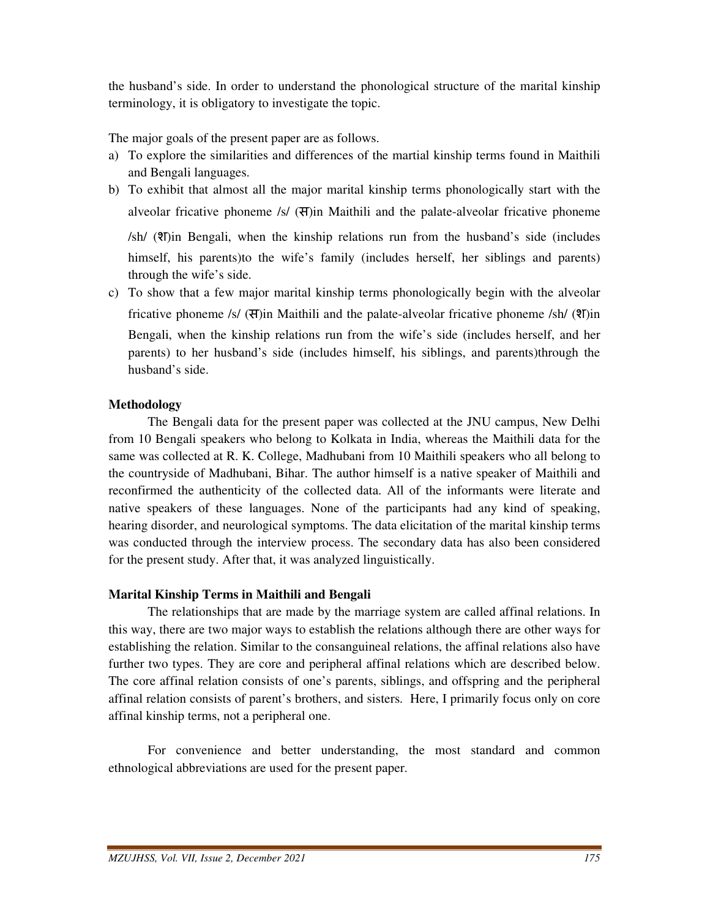the husband's side. In order to understand the phonological structure of the marital kinship terminology, it is obligatory to investigate the topic.

The major goals of the present paper are as follows.

- a) To explore the similarities and differences of the martial kinship terms found in Maithili and Bengali languages.
- b) To exhibit that almost all the major marital kinship terms phonologically start with the alveolar fricative phoneme /s/  $(\text{H})$ in Maithili and the palate-alveolar fricative phoneme

/sh/ (श)in Bengali, when the kinship relations run from the husband's side (includes himself, his parents)to the wife's family (includes herself, her siblings and parents) through the wife's side.

c) To show that a few major marital kinship terms phonologically begin with the alveolar fricative phoneme /s/ (स)in Maithili and the palate-alveolar fricative phoneme /sh/ (श)in Bengali, when the kinship relations run from the wife's side (includes herself, and her parents) to her husband's side (includes himself, his siblings, and parents)through the husband's side.

#### **Methodology**

 The Bengali data for the present paper was collected at the JNU campus, New Delhi from 10 Bengali speakers who belong to Kolkata in India, whereas the Maithili data for the same was collected at R. K. College, Madhubani from 10 Maithili speakers who all belong to the countryside of Madhubani, Bihar. The author himself is a native speaker of Maithili and reconfirmed the authenticity of the collected data. All of the informants were literate and native speakers of these languages. None of the participants had any kind of speaking, hearing disorder, and neurological symptoms. The data elicitation of the marital kinship terms was conducted through the interview process. The secondary data has also been considered for the present study. After that, it was analyzed linguistically.

#### **Marital Kinship Terms in Maithili and Bengali**

 The relationships that are made by the marriage system are called affinal relations. In this way, there are two major ways to establish the relations although there are other ways for establishing the relation. Similar to the consanguineal relations, the affinal relations also have further two types. They are core and peripheral affinal relations which are described below. The core affinal relation consists of one's parents, siblings, and offspring and the peripheral affinal relation consists of parent's brothers, and sisters. Here, I primarily focus only on core affinal kinship terms, not a peripheral one.

 For convenience and better understanding, the most standard and common ethnological abbreviations are used for the present paper.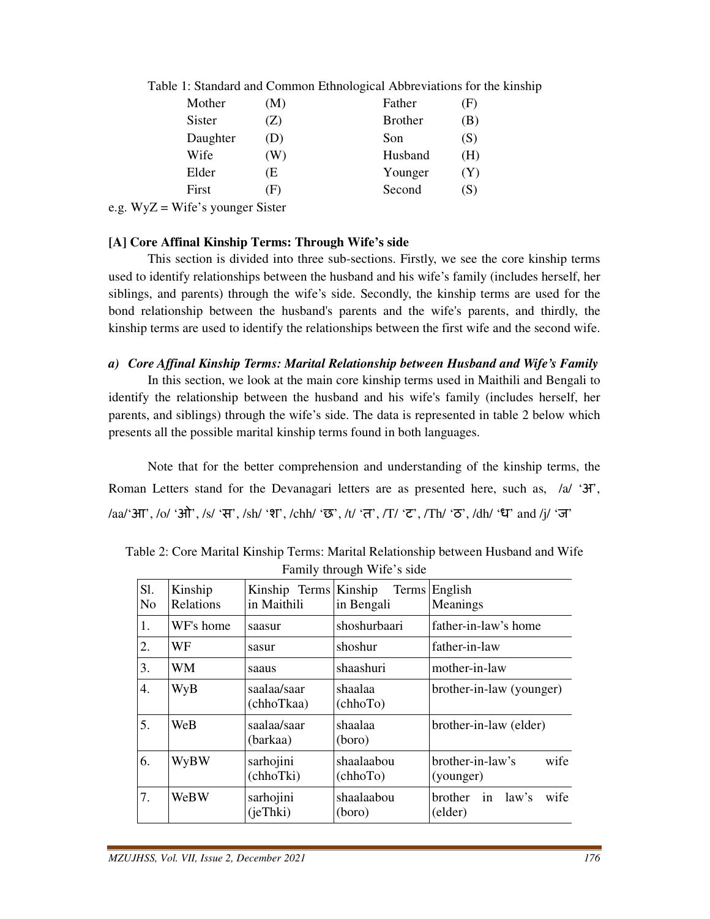|                | Mother       | (M)            | Father         | (F) |
|----------------|--------------|----------------|----------------|-----|
|                | Sister       | Z)             | <b>Brother</b> | (B) |
|                | Daughter     | (D)            | Son            | (S) |
|                | Wife         | (W)            | Husband        | (H) |
|                | Elder        | (E             | Younger        | (Y) |
|                | First        | (F)            | Second         | (S) |
| $\overline{ }$ | $\mathbf{v}$ | $\mathbf{a}$ . |                |     |

Table 1: Standard and Common Ethnological Abbreviations for the kinship

e.g. WyZ = Wife's younger Sister

#### **[A] Core Affinal Kinship Terms: Through Wife's side**

 This section is divided into three sub-sections. Firstly, we see the core kinship terms used to identify relationships between the husband and his wife's family (includes herself, her siblings, and parents) through the wife's side. Secondly, the kinship terms are used for the bond relationship between the husband's parents and the wife's parents, and thirdly, the kinship terms are used to identify the relationships between the first wife and the second wife.

#### *a) Core Affinal Kinship Terms: Marital Relationship between Husband and Wife's Family*

 In this section, we look at the main core kinship terms used in Maithili and Bengali to identify the relationship between the husband and his wife's family (includes herself, her parents, and siblings) through the wife's side. The data is represented in table 2 below which presents all the possible marital kinship terms found in both languages.

 Note that for the better comprehension and understanding of the kinship terms, the Roman Letters stand for the Devanagari letters are as presented here, such as, /a/ '3<sup>3</sup>', /aa/'आ', /o/ 'ओ', /s/ 'स', /sh/ 'श', /chh/ 'छ', /t/ 'त', /T/ 'ट', /Th/ 'ठ', /dh/ 'ध' and /j/ 'ज'

| Sl.<br>N <sub>o</sub> | Kinship<br>Relations | Kinship Terms Kinship<br>in Maithili | <b>Terms</b><br>in Bengali | English<br>Meanings                              |
|-----------------------|----------------------|--------------------------------------|----------------------------|--------------------------------------------------|
| 1.                    | WF's home            | saasur                               | shoshurbaari               | father-in-law's home                             |
| 2.                    | WF                   | sasur                                | shoshur                    | father-in-law                                    |
| 3.                    | WM                   | saaus                                | shaashuri                  | mother-in-law                                    |
| 4.                    | WyB                  | saalaa/saar<br>(chhoTkaa)            | shaalaa<br>(chhoTo)        | brother-in-law (younger)                         |
| 5.                    | WeB                  | saalaa/saar<br>(barkaa)              | shaalaa<br>(boro)          | brother-in-law (elder)                           |
| 6.                    | WyBW                 | sarhojini<br>(chhoTki)               | shaalaabou<br>(chhoTo)     | wife<br>brother-in-law's<br>(younger)            |
| 7.                    | WeBW                 | sarhojini<br>(ieThki)                | shaalaabou<br>(boro)       | wife<br>in<br>law's<br><b>brother</b><br>(elder) |

Table 2: Core Marital Kinship Terms: Marital Relationship between Husband and Wife Family through Wife's side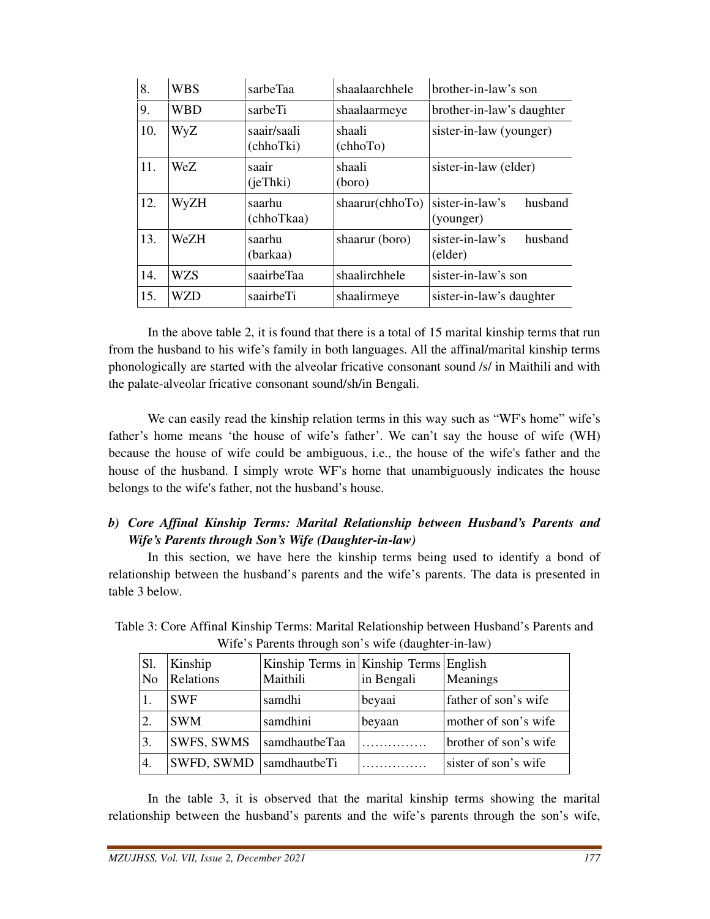| 8.  | <b>WBS</b> | sarbeTaa                 | shaalaarchhele     | brother-in-law's son                    |
|-----|------------|--------------------------|--------------------|-----------------------------------------|
| 9.  | <b>WBD</b> | sarbeTi                  | shaalaarmeye       | brother-in-law's daughter               |
| 10. | WyZ        | saair/saali<br>(chhoTki) | shaali<br>(chhoTo) | sister-in-law (younger)                 |
| 11. | WeZ.       | saair<br>(ieThki)        | shaali<br>(boro)   | sister-in-law (elder)                   |
| 12. | WyZH       | saarhu<br>(chhoTkaa)     | shaarur(chhoTo)    | sister-in-law's<br>husband<br>(younger) |
| 13. | WeZH       | saarhu<br>(barkaa)       | shaarur (boro)     | sister-in-law's<br>husband<br>(elder)   |
| 14. | WZS        | saairbeTaa               | shaalirchhele      | sister-in-law's son                     |
| 15. | WZD        | saairbeTi                | shaalirmeye        | sister-in-law's daughter                |

 In the above table 2, it is found that there is a total of 15 marital kinship terms that run from the husband to his wife's family in both languages. All the affinal/marital kinship terms phonologically are started with the alveolar fricative consonant sound /s/ in Maithili and with the palate-alveolar fricative consonant sound/sh/in Bengali.

We can easily read the kinship relation terms in this way such as "WF's home" wife's father's home means 'the house of wife's father'. We can't say the house of wife (WH) because the house of wife could be ambiguous, i.e., the house of the wife's father and the house of the husband. I simply wrote WF's home that unambiguously indicates the house belongs to the wife's father, not the husband's house.

#### *b) Core Affinal Kinship Terms: Marital Relationship between Husband's Parents and Wife's Parents through Son's Wife (Daughter-in-law)*

 In this section, we have here the kinship terms being used to identify a bond of relationship between the husband's parents and the wife's parents. The data is presented in table 3 below.

| $m_{\rm H}$ is a divide through son s wile (daughter in faw) |                      |                                                    |            |                       |  |  |
|--------------------------------------------------------------|----------------------|----------------------------------------------------|------------|-----------------------|--|--|
| Sl.<br>N <sub>o</sub>                                        | Kinship<br>Relations | Kinship Terms in Kinship Terms English<br>Maithili | in Bengali | Meanings              |  |  |
|                                                              | <b>SWF</b>           | samdhi                                             | beyaai     | father of son's wife  |  |  |
| 2.                                                           | <b>SWM</b>           | samdhini                                           | beyaan     | mother of son's wife  |  |  |
| 3.                                                           | SWFS, SWMS           | samdhautbeTaa                                      | .          | brother of son's wife |  |  |
| 4.                                                           | SWFD, SWMD           | samdhautbeTi                                       |            | sister of son's wife  |  |  |

Table 3: Core Affinal Kinship Terms: Marital Relationship between Husband's Parents and Wife's Parents through son's wife (daughter-in-law)

 In the table 3, it is observed that the marital kinship terms showing the marital relationship between the husband's parents and the wife's parents through the son's wife,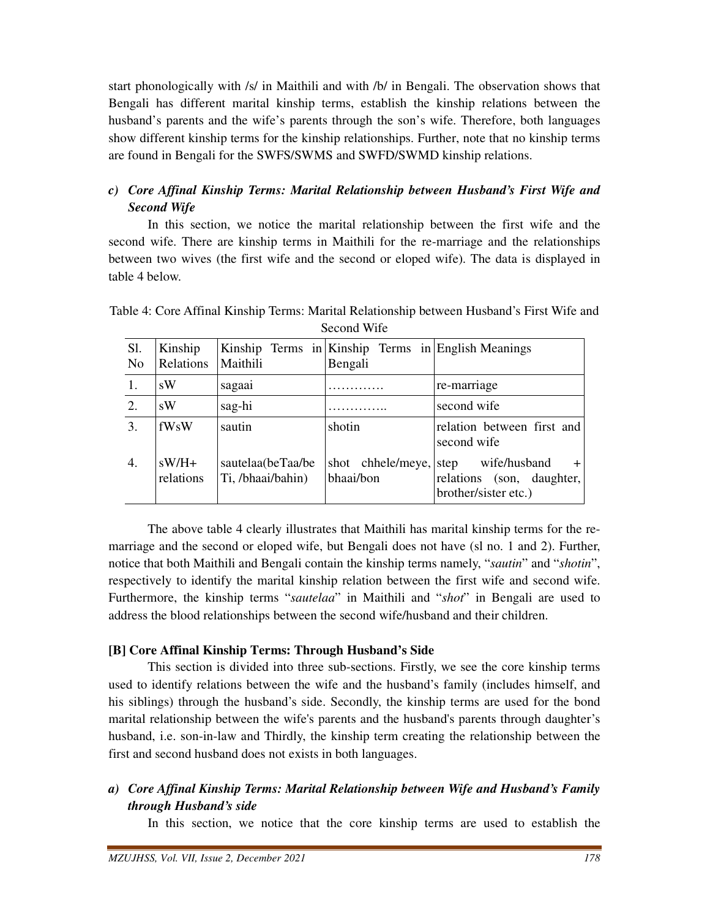start phonologically with /s/ in Maithili and with /b/ in Bengali. The observation shows that Bengali has different marital kinship terms, establish the kinship relations between the husband's parents and the wife's parents through the son's wife. Therefore, both languages show different kinship terms for the kinship relationships. Further, note that no kinship terms are found in Bengali for the SWFS/SWMS and SWFD/SWMD kinship relations.

# *c) Core Affinal Kinship Terms: Marital Relationship between Husband's First Wife and Second Wife*

 In this section, we notice the marital relationship between the first wife and the second wife. There are kinship terms in Maithili for the re-marriage and the relationships between two wives (the first wife and the second or eloped wife). The data is displayed in table 4 below.

| Sl.<br>N <sub>0</sub> | Kinship<br>Relations | Maithili                               | Kinship Terms in Kinship Terms in English Meanings<br>Bengali |                                                                                  |
|-----------------------|----------------------|----------------------------------------|---------------------------------------------------------------|----------------------------------------------------------------------------------|
|                       | sW                   | sagaai                                 |                                                               | re-marriage                                                                      |
| 2.                    | sW                   | sag-hi                                 |                                                               | second wife                                                                      |
| 3.                    | fWsW                 | sautin                                 | shotin                                                        | relation between first and<br>second wife                                        |
| 4.                    | $sW/H+$<br>relations | sautelaa(beTaa/be<br>Ti, /bhaai/bahin) | shot chhele/meye,<br>bhaai/bon                                | wife/husband<br>step<br>$+$<br>relations (son, daughter,<br>brother/sister etc.) |

Table 4: Core Affinal Kinship Terms: Marital Relationship between Husband's First Wife and Second Wife

 The above table 4 clearly illustrates that Maithili has marital kinship terms for the remarriage and the second or eloped wife, but Bengali does not have (sl no. 1 and 2). Further, notice that both Maithili and Bengali contain the kinship terms namely, "*sautin*" and "*shotin*", respectively to identify the marital kinship relation between the first wife and second wife. Furthermore, the kinship terms "*sautelaa*" in Maithili and "*shot*" in Bengali are used to address the blood relationships between the second wife/husband and their children.

#### **[B] Core Affinal Kinship Terms: Through Husband's Side**

 This section is divided into three sub-sections. Firstly, we see the core kinship terms used to identify relations between the wife and the husband's family (includes himself, and his siblings) through the husband's side. Secondly, the kinship terms are used for the bond marital relationship between the wife's parents and the husband's parents through daughter's husband, i.e. son-in-law and Thirdly, the kinship term creating the relationship between the first and second husband does not exists in both languages.

*a) Core Affinal Kinship Terms: Marital Relationship between Wife and Husband's Family through Husband's side* 

In this section, we notice that the core kinship terms are used to establish the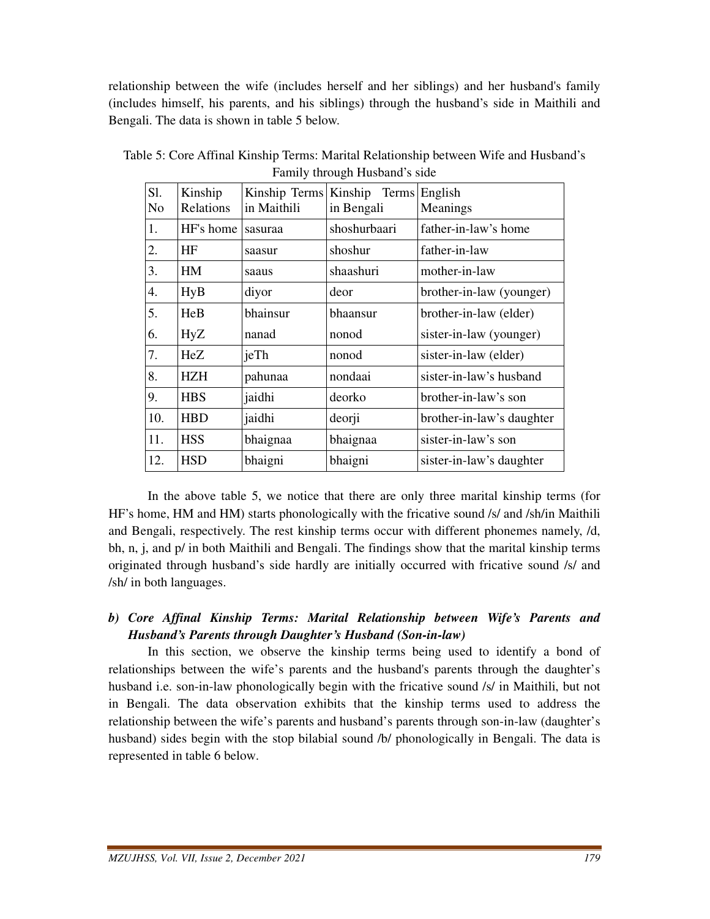relationship between the wife (includes herself and her siblings) and her husband's family (includes himself, his parents, and his siblings) through the husband's side in Maithili and Bengali. The data is shown in table 5 below.

| S1. | Kinship    | Kinship Terms | Kinship Terms | English                   |
|-----|------------|---------------|---------------|---------------------------|
| No  | Relations  | in Maithili   | in Bengali    | Meanings                  |
| 1.  | HF's home  | sasuraa       | shoshurbaari  | father-in-law's home      |
| 2.  | HF         | saasur        | shoshur       | father-in-law             |
| 3.  | HM         | saaus         | shaashuri     | mother-in-law             |
| 4.  | HyB        | diyor         | deor          | brother-in-law (younger)  |
| 5.  | HeB        | bhainsur      | bhaansur      | brother-in-law (elder)    |
| 6.  | HyZ        | nanad         | nonod         | sister-in-law (younger)   |
| 7.  | HeZ        | jeTh          | nonod         | sister-in-law (elder)     |
| 8.  | <b>HZH</b> | pahunaa       | nondaai       | sister-in-law's husband   |
| 9.  | <b>HBS</b> | jaidhi        | deorko        | brother-in-law's son      |
| 10. | <b>HBD</b> | jaidhi        | deorji        | brother-in-law's daughter |
| 11. | <b>HSS</b> | bhaignaa      | bhaignaa      | sister-in-law's son       |
| 12. | <b>HSD</b> | bhaigni       | bhaigni       | sister-in-law's daughter  |
|     |            |               |               |                           |

Table 5: Core Affinal Kinship Terms: Marital Relationship between Wife and Husband's Family through Husband's side

 In the above table 5, we notice that there are only three marital kinship terms (for HF's home, HM and HM) starts phonologically with the fricative sound /s/ and /sh/in Maithili and Bengali, respectively. The rest kinship terms occur with different phonemes namely, /d, bh, n, j, and p/ in both Maithili and Bengali. The findings show that the marital kinship terms originated through husband's side hardly are initially occurred with fricative sound /s/ and /sh/ in both languages.

## *b) Core Affinal Kinship Terms: Marital Relationship between Wife's Parents and Husband's Parents through Daughter's Husband (Son-in-law)*

 In this section, we observe the kinship terms being used to identify a bond of relationships between the wife's parents and the husband's parents through the daughter's husband i.e. son-in-law phonologically begin with the fricative sound /s/ in Maithili, but not in Bengali. The data observation exhibits that the kinship terms used to address the relationship between the wife's parents and husband's parents through son-in-law (daughter's husband) sides begin with the stop bilabial sound /b/ phonologically in Bengali. The data is represented in table 6 below.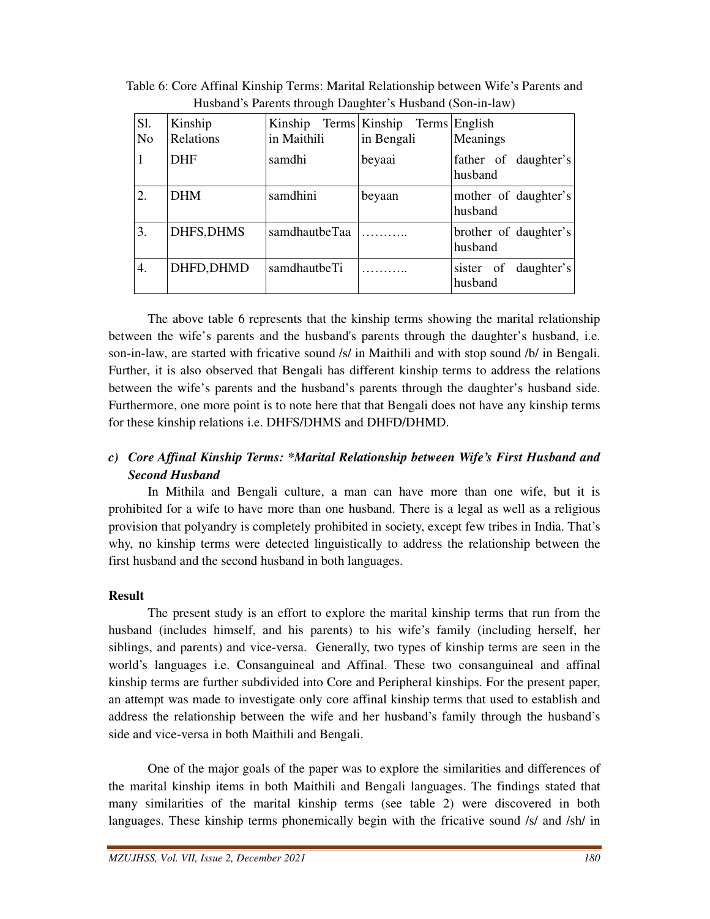| Sl.<br>N <sub>0</sub> | Kinship<br>Relations | in Maithili   | Kinship Terms Kinship Terms English<br>in Bengali | Meanings                           |
|-----------------------|----------------------|---------------|---------------------------------------------------|------------------------------------|
| 1                     | <b>DHF</b>           | samdhi        | beyaai                                            | father of daughter's<br>husband    |
| 2.                    | <b>DHM</b>           | samdhini      | beyaan                                            | mother of daughter's<br>husband    |
| 3.                    | DHFS, DHMS           | samdhautbeTaa |                                                   | brother of daughter's<br>husband   |
| 4.                    | DHFD, DHMD           | samdhautbeTi  |                                                   | daughter's<br>sister of<br>husband |

Table 6: Core Affinal Kinship Terms: Marital Relationship between Wife's Parents and Husband's Parents through Daughter's Husband (Son-in-law)

 The above table 6 represents that the kinship terms showing the marital relationship between the wife's parents and the husband's parents through the daughter's husband, i.e. son-in-law, are started with fricative sound /s/ in Maithili and with stop sound /b/ in Bengali. Further, it is also observed that Bengali has different kinship terms to address the relations between the wife's parents and the husband's parents through the daughter's husband side. Furthermore, one more point is to note here that that Bengali does not have any kinship terms for these kinship relations i.e. DHFS/DHMS and DHFD/DHMD.

## *c) Core Affinal Kinship Terms: \*Marital Relationship between Wife's First Husband and Second Husband*

 In Mithila and Bengali culture, a man can have more than one wife, but it is prohibited for a wife to have more than one husband. There is a legal as well as a religious provision that polyandry is completely prohibited in society, except few tribes in India. That's why, no kinship terms were detected linguistically to address the relationship between the first husband and the second husband in both languages.

#### **Result**

 The present study is an effort to explore the marital kinship terms that run from the husband (includes himself, and his parents) to his wife's family (including herself, her siblings, and parents) and vice-versa. Generally, two types of kinship terms are seen in the world's languages i.e. Consanguineal and Affinal. These two consanguineal and affinal kinship terms are further subdivided into Core and Peripheral kinships. For the present paper, an attempt was made to investigate only core affinal kinship terms that used to establish and address the relationship between the wife and her husband's family through the husband's side and vice-versa in both Maithili and Bengali.

 One of the major goals of the paper was to explore the similarities and differences of the marital kinship items in both Maithili and Bengali languages. The findings stated that many similarities of the marital kinship terms (see table 2) were discovered in both languages. These kinship terms phonemically begin with the fricative sound /s/ and /sh/ in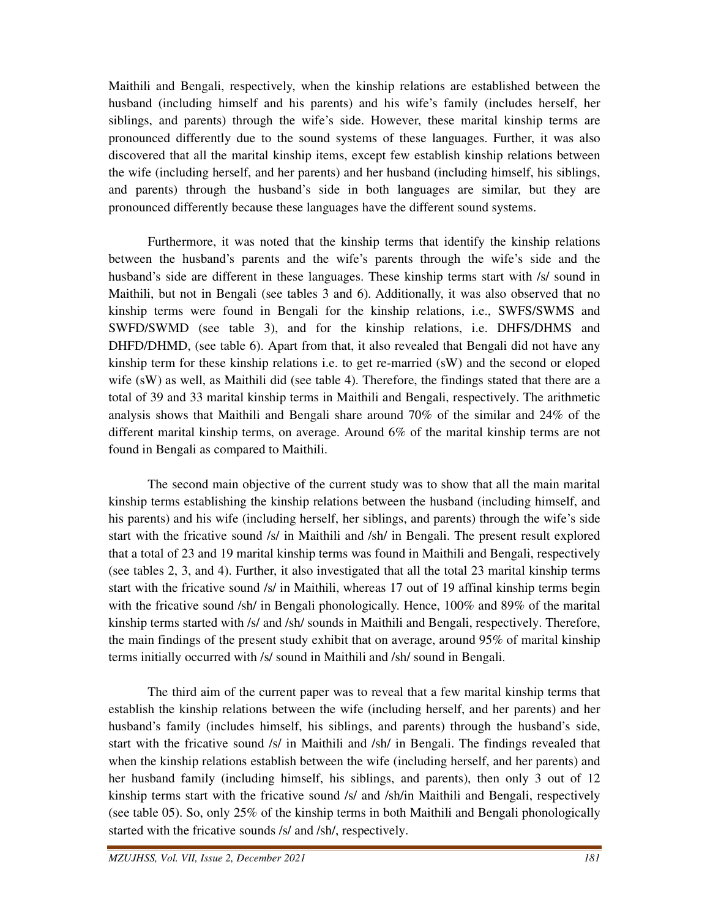Maithili and Bengali, respectively, when the kinship relations are established between the husband (including himself and his parents) and his wife's family (includes herself, her siblings, and parents) through the wife's side. However, these marital kinship terms are pronounced differently due to the sound systems of these languages. Further, it was also discovered that all the marital kinship items, except few establish kinship relations between the wife (including herself, and her parents) and her husband (including himself, his siblings, and parents) through the husband's side in both languages are similar, but they are pronounced differently because these languages have the different sound systems.

 Furthermore, it was noted that the kinship terms that identify the kinship relations between the husband's parents and the wife's parents through the wife's side and the husband's side are different in these languages. These kinship terms start with /s/ sound in Maithili, but not in Bengali (see tables 3 and 6). Additionally, it was also observed that no kinship terms were found in Bengali for the kinship relations, i.e., SWFS/SWMS and SWFD/SWMD (see table 3), and for the kinship relations, i.e. DHFS/DHMS and DHFD/DHMD, (see table 6). Apart from that, it also revealed that Bengali did not have any kinship term for these kinship relations i.e. to get re-married (sW) and the second or eloped wife (sW) as well, as Maithili did (see table 4). Therefore, the findings stated that there are a total of 39 and 33 marital kinship terms in Maithili and Bengali, respectively. The arithmetic analysis shows that Maithili and Bengali share around 70% of the similar and 24% of the different marital kinship terms, on average. Around 6% of the marital kinship terms are not found in Bengali as compared to Maithili.

 The second main objective of the current study was to show that all the main marital kinship terms establishing the kinship relations between the husband (including himself, and his parents) and his wife (including herself, her siblings, and parents) through the wife's side start with the fricative sound /s/ in Maithili and /sh/ in Bengali. The present result explored that a total of 23 and 19 marital kinship terms was found in Maithili and Bengali, respectively (see tables 2, 3, and 4). Further, it also investigated that all the total 23 marital kinship terms start with the fricative sound /s/ in Maithili, whereas 17 out of 19 affinal kinship terms begin with the fricative sound /sh/ in Bengali phonologically. Hence, 100% and 89% of the marital kinship terms started with /s/ and /sh/ sounds in Maithili and Bengali, respectively. Therefore, the main findings of the present study exhibit that on average, around 95% of marital kinship terms initially occurred with /s/ sound in Maithili and /sh/ sound in Bengali.

 The third aim of the current paper was to reveal that a few marital kinship terms that establish the kinship relations between the wife (including herself, and her parents) and her husband's family (includes himself, his siblings, and parents) through the husband's side, start with the fricative sound /s/ in Maithili and /sh/ in Bengali. The findings revealed that when the kinship relations establish between the wife (including herself, and her parents) and her husband family (including himself, his siblings, and parents), then only 3 out of 12 kinship terms start with the fricative sound /s/ and /sh/in Maithili and Bengali, respectively (see table 05). So, only 25% of the kinship terms in both Maithili and Bengali phonologically started with the fricative sounds /s/ and /sh/, respectively.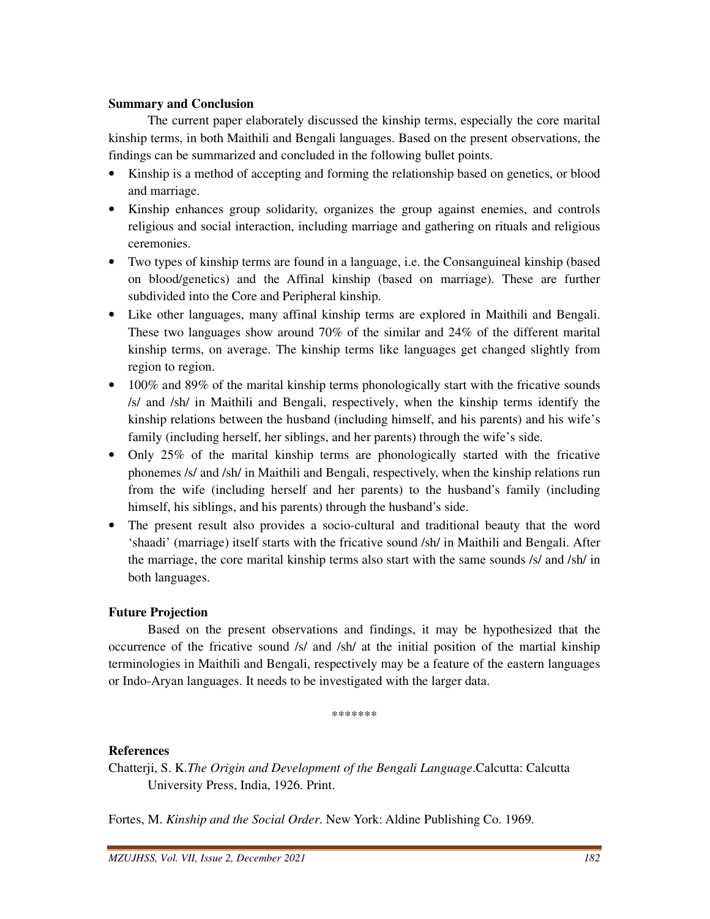#### **Summary and Conclusion**

 The current paper elaborately discussed the kinship terms, especially the core marital kinship terms, in both Maithili and Bengali languages. Based on the present observations, the findings can be summarized and concluded in the following bullet points.

- Kinship is a method of accepting and forming the relationship based on genetics, or blood and marriage.
- Kinship enhances group solidarity, organizes the group against enemies, and controls religious and social interaction, including marriage and gathering on rituals and religious ceremonies.
- Two types of kinship terms are found in a language, i.e. the Consanguineal kinship (based on blood/genetics) and the Affinal kinship (based on marriage). These are further subdivided into the Core and Peripheral kinship.
- Like other languages, many affinal kinship terms are explored in Maithili and Bengali. These two languages show around 70% of the similar and 24% of the different marital kinship terms, on average. The kinship terms like languages get changed slightly from region to region.
- 100% and 89% of the marital kinship terms phonologically start with the fricative sounds /s/ and /sh/ in Maithili and Bengali, respectively, when the kinship terms identify the kinship relations between the husband (including himself, and his parents) and his wife's family (including herself, her siblings, and her parents) through the wife's side.
- Only 25% of the marital kinship terms are phonologically started with the fricative phonemes /s/ and /sh/ in Maithili and Bengali, respectively, when the kinship relations run from the wife (including herself and her parents) to the husband's family (including himself, his siblings, and his parents) through the husband's side.
- The present result also provides a socio-cultural and traditional beauty that the word 'shaadi' (marriage) itself starts with the fricative sound /sh/ in Maithili and Bengali. After the marriage, the core marital kinship terms also start with the same sounds /s/ and /sh/ in both languages.

#### **Future Projection**

 Based on the present observations and findings, it may be hypothesized that the occurrence of the fricative sound /s/ and /sh/ at the initial position of the martial kinship terminologies in Maithili and Bengali, respectively may be a feature of the eastern languages or Indo-Aryan languages. It needs to be investigated with the larger data.

\*\*\*\*\*\*\*

#### **References**

Chatterji, S. K.*The Origin and Development of the Bengali Language*.Calcutta: Calcutta University Press, India, 1926. Print.

Fortes, M. *Kinship and the Social Order*. New York: Aldine Publishing Co. 1969.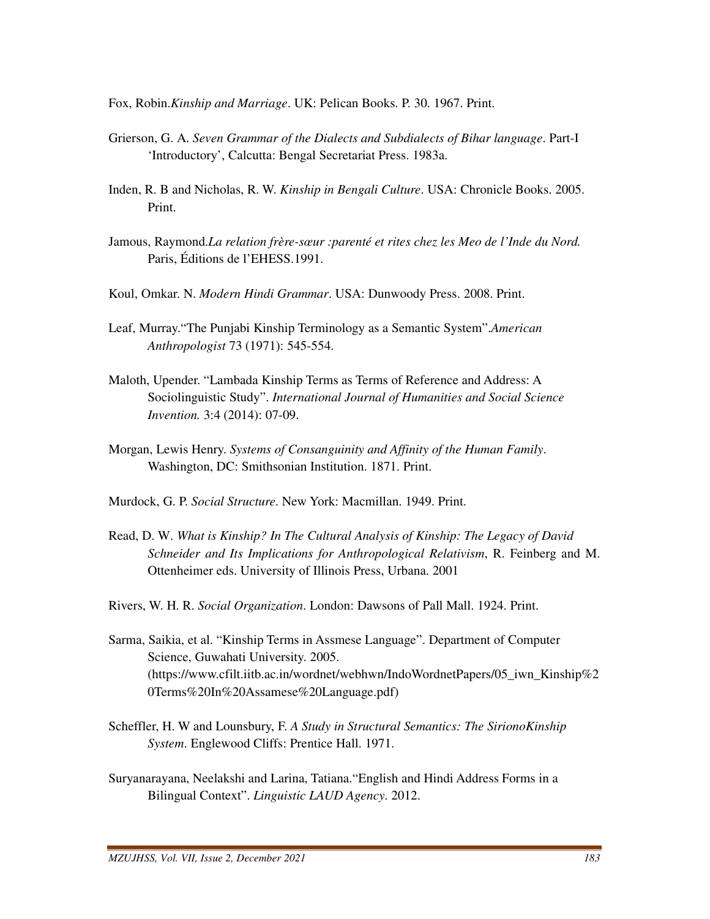Fox, Robin.*Kinship and Marriage*. UK: Pelican Books. P. 30. 1967. Print.

- Grierson, G. A. *Seven Grammar of the Dialects and Subdialects of Bihar language*. Part-I 'Introductory', Calcutta: Bengal Secretariat Press. 1983a.
- Inden, R. B and Nicholas, R. W. *Kinship in Bengali Culture*. USA: Chronicle Books. 2005. Print.
- Jamous, Raymond.*La relation frère-sœur :parenté et rites chez les Meo de l'Inde du Nord.*  Paris, Éditions de l'EHESS.1991.
- Koul, Omkar. N. *Modern Hindi Grammar*. USA: Dunwoody Press. 2008. Print.
- Leaf, Murray."The Punjabi Kinship Terminology as a Semantic System".*American Anthropologist* 73 (1971): 545-554.
- Maloth, Upender. "Lambada Kinship Terms as Terms of Reference and Address: A Sociolinguistic Study". *International Journal of Humanities and Social Science Invention.* 3:4 (2014): 07-09.
- Morgan, Lewis Henry. *Systems of Consanguinity and Affinity of the Human Family*. Washington, DC: Smithsonian Institution. 1871. Print.
- Murdock, G. P. *Social Structure*. New York: Macmillan. 1949. Print.
- Read, D. W. *What is Kinship? In The Cultural Analysis of Kinship: The Legacy of David Schneider and Its Implications for Anthropological Relativism*, R. Feinberg and M. Ottenheimer eds. University of Illinois Press, Urbana. 2001
- Rivers, W. H. R. *Social Organization*. London: Dawsons of Pall Mall. 1924. Print.
- Sarma, Saikia, et al. "Kinship Terms in Assmese Language". Department of Computer Science, Guwahati University. 2005. (https://www.cfilt.iitb.ac.in/wordnet/webhwn/IndoWordnetPapers/05\_iwn\_Kinship%2 0Terms%20In%20Assamese%20Language.pdf)
- Scheffler, H. W and Lounsbury, F. *A Study in Structural Semantics: The SirionoKinship System*. Englewood Cliffs: Prentice Hall. 1971.
- Suryanarayana, Neelakshi and Larina, Tatiana."English and Hindi Address Forms in a Bilingual Context". *Linguistic LAUD Agency*. 2012.